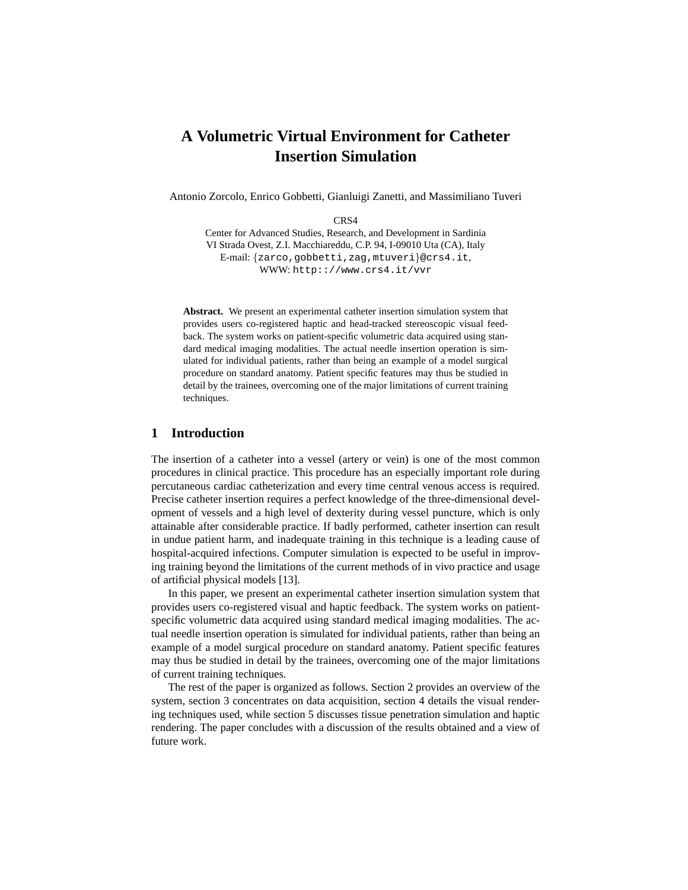# **A Volumetric Virtual Environment for Catheter Insertion Simulation**

Antonio Zorcolo, Enrico Gobbetti, Gianluigi Zanetti, and Massimiliano Tuveri

CR<sub>S4</sub>

Center for Advanced Studies, Research, and Development in Sardinia VI Strada Ovest, Z.I. Macchiareddu, C.P. 94, I-09010 Uta (CA), Italy E-mail: {zarco,gobbetti,zag,mtuveri}@crs4.it, WWW: http:://www.crs4.it/vvr

**Abstract.** We present an experimental catheter insertion simulation system that provides users co-registered haptic and head-tracked stereoscopic visual feedback. The system works on patient-specific volumetric data acquired using standard medical imaging modalities. The actual needle insertion operation is simulated for individual patients, rather than being an example of a model surgical procedure on standard anatomy. Patient specific features may thus be studied in detail by the trainees, overcoming one of the major limitations of current training techniques.

# **1 Introduction**

The insertion of a catheter into a vessel (artery or vein) is one of the most common procedures in clinical practice. This procedure has an especially important role during percutaneous cardiac catheterization and every time central venous access is required. Precise catheter insertion requires a perfect knowledge of the three-dimensional development of vessels and a high level of dexterity during vessel puncture, which is only attainable after considerable practice. If badly performed, catheter insertion can result in undue patient harm, and inadequate training in this technique is a leading cause of hospital-acquired infections. Computer simulation is expected to be useful in improving training beyond the limitations of the current methods of in vivo practice and usage of artificial physical models [13].

In this paper, we present an experimental catheter insertion simulation system that provides users co-registered visual and haptic feedback. The system works on patientspecific volumetric data acquired using standard medical imaging modalities. The actual needle insertion operation is simulated for individual patients, rather than being an example of a model surgical procedure on standard anatomy. Patient specific features may thus be studied in detail by the trainees, overcoming one of the major limitations of current training techniques.

The rest of the paper is organized as follows. Section 2 provides an overview of the system, section 3 concentrates on data acquisition, section 4 details the visual rendering techniques used, while section 5 discusses tissue penetration simulation and haptic rendering. The paper concludes with a discussion of the results obtained and a view of future work.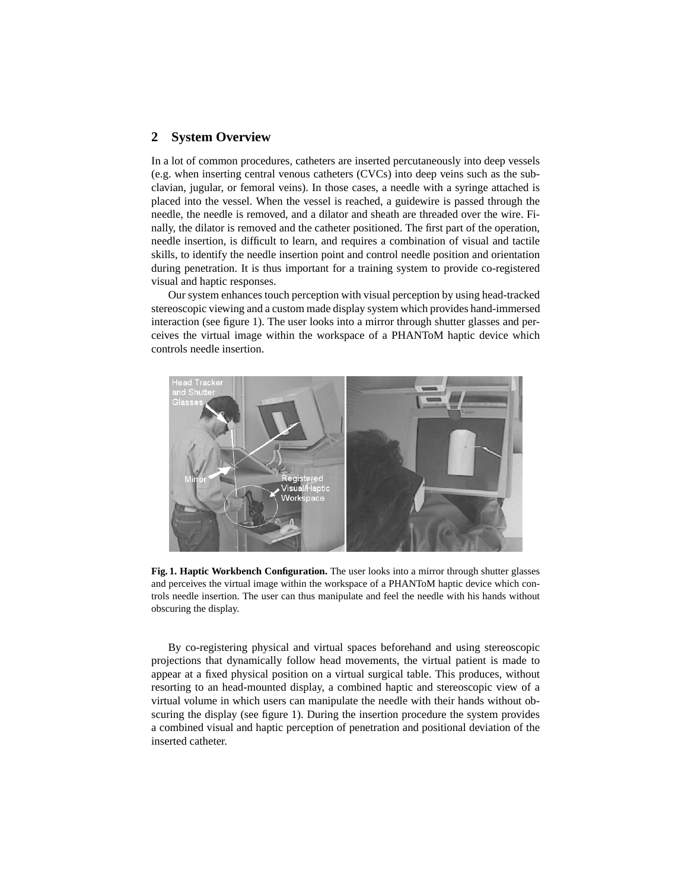# **2 System Overview**

In a lot of common procedures, catheters are inserted percutaneously into deep vessels (e.g. when inserting central venous catheters (CVCs) into deep veins such as the subclavian, jugular, or femoral veins). In those cases, a needle with a syringe attached is placed into the vessel. When the vessel is reached, a guidewire is passed through the needle, the needle is removed, and a dilator and sheath are threaded over the wire. Finally, the dilator is removed and the catheter positioned. The first part of the operation, needle insertion, is difficult to learn, and requires a combination of visual and tactile skills, to identify the needle insertion point and control needle position and orientation during penetration. It is thus important for a training system to provide co-registered visual and haptic responses.

Our system enhances touch perception with visual perception by using head-tracked stereoscopic viewing and a custom made display system which provides hand-immersed interaction (see figure 1). The user looks into a mirror through shutter glasses and perceives the virtual image within the workspace of a PHANToM haptic device which controls needle insertion.



**Fig. 1. Haptic Workbench Configuration.** The user looks into a mirror through shutter glasses and perceives the virtual image within the workspace of a PHANToM haptic device which controls needle insertion. The user can thus manipulate and feel the needle with his hands without obscuring the display.

By co-registering physical and virtual spaces beforehand and using stereoscopic projections that dynamically follow head movements, the virtual patient is made to appear at a fixed physical position on a virtual surgical table. This produces, without resorting to an head-mounted display, a combined haptic and stereoscopic view of a virtual volume in which users can manipulate the needle with their hands without obscuring the display (see figure 1). During the insertion procedure the system provides a combined visual and haptic perception of penetration and positional deviation of the inserted catheter.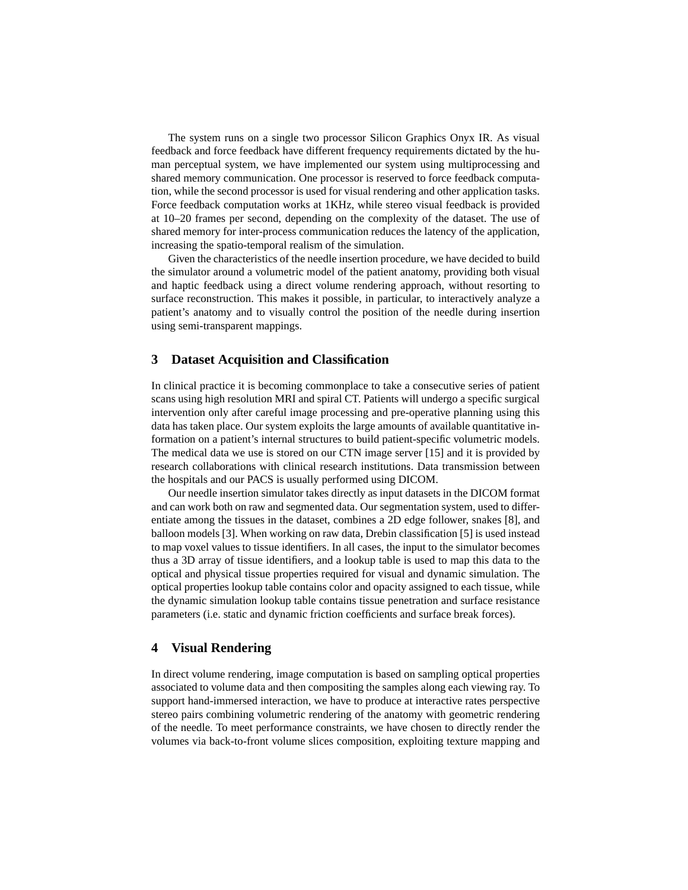The system runs on a single two processor Silicon Graphics Onyx IR. As visual feedback and force feedback have different frequency requirements dictated by the human perceptual system, we have implemented our system using multiprocessing and shared memory communication. One processor is reserved to force feedback computation, while the second processor is used for visual rendering and other application tasks. Force feedback computation works at 1KHz, while stereo visual feedback is provided at 10–20 frames per second, depending on the complexity of the dataset. The use of shared memory for inter-process communication reduces the latency of the application, increasing the spatio-temporal realism of the simulation.

Given the characteristics of the needle insertion procedure, we have decided to build the simulator around a volumetric model of the patient anatomy, providing both visual and haptic feedback using a direct volume rendering approach, without resorting to surface reconstruction. This makes it possible, in particular, to interactively analyze a patient's anatomy and to visually control the position of the needle during insertion using semi-transparent mappings.

## **3 Dataset Acquisition and Classification**

In clinical practice it is becoming commonplace to take a consecutive series of patient scans using high resolution MRI and spiral CT. Patients will undergo a specific surgical intervention only after careful image processing and pre-operative planning using this data has taken place. Our system exploits the large amounts of available quantitative information on a patient's internal structures to build patient-specific volumetric models. The medical data we use is stored on our CTN image server [15] and it is provided by research collaborations with clinical research institutions. Data transmission between the hospitals and our PACS is usually performed using DICOM.

Our needle insertion simulator takes directly as input datasets in the DICOM format and can work both on raw and segmented data. Our segmentation system, used to differentiate among the tissues in the dataset, combines a 2D edge follower, snakes [8], and balloon models [3]. When working on raw data, Drebin classification [5] is used instead to map voxel values to tissue identifiers. In all cases, the input to the simulator becomes thus a 3D array of tissue identifiers, and a lookup table is used to map this data to the optical and physical tissue properties required for visual and dynamic simulation. The optical properties lookup table contains color and opacity assigned to each tissue, while the dynamic simulation lookup table contains tissue penetration and surface resistance parameters (i.e. static and dynamic friction coefficients and surface break forces).

## **4 Visual Rendering**

In direct volume rendering, image computation is based on sampling optical properties associated to volume data and then compositing the samples along each viewing ray. To support hand-immersed interaction, we have to produce at interactive rates perspective stereo pairs combining volumetric rendering of the anatomy with geometric rendering of the needle. To meet performance constraints, we have chosen to directly render the volumes via back-to-front volume slices composition, exploiting texture mapping and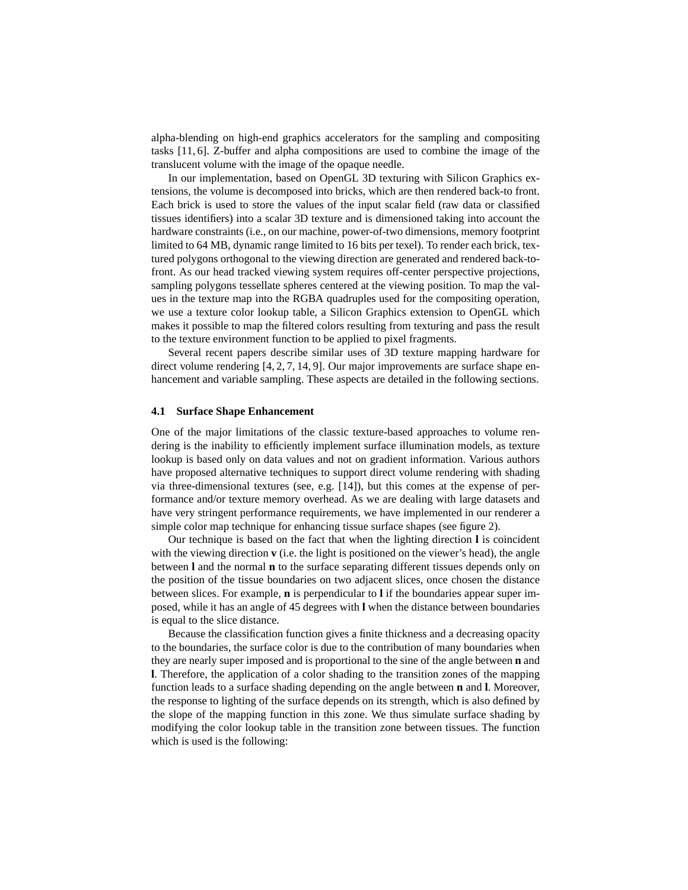alpha-blending on high-end graphics accelerators for the sampling and compositing tasks [11, 6]. Z-buffer and alpha compositions are used to combine the image of the translucent volume with the image of the opaque needle.

In our implementation, based on OpenGL 3D texturing with Silicon Graphics extensions, the volume is decomposed into bricks, which are then rendered back-to front. Each brick is used to store the values of the input scalar field (raw data or classified tissues identifiers) into a scalar 3D texture and is dimensioned taking into account the hardware constraints (i.e., on our machine, power-of-two dimensions, memory footprint limited to 64 MB, dynamic range limited to 16 bits per texel). To render each brick, textured polygons orthogonal to the viewing direction are generated and rendered back-tofront. As our head tracked viewing system requires off-center perspective projections, sampling polygons tessellate spheres centered at the viewing position. To map the values in the texture map into the RGBA quadruples used for the compositing operation, we use a texture color lookup table, a Silicon Graphics extension to OpenGL which makes it possible to map the filtered colors resulting from texturing and pass the result to the texture environment function to be applied to pixel fragments.

Several recent papers describe similar uses of 3D texture mapping hardware for direct volume rendering [4, 2, 7, 14, 9]. Our major improvements are surface shape enhancement and variable sampling. These aspects are detailed in the following sections.

#### **4.1 Surface Shape Enhancement**

One of the major limitations of the classic texture-based approaches to volume rendering is the inability to efficiently implement surface illumination models, as texture lookup is based only on data values and not on gradient information. Various authors have proposed alternative techniques to support direct volume rendering with shading via three-dimensional textures (see, e.g. [14]), but this comes at the expense of performance and/or texture memory overhead. As we are dealing with large datasets and have very stringent performance requirements, we have implemented in our renderer a simple color map technique for enhancing tissue surface shapes (see figure 2).

Our technique is based on the fact that when the lighting direction **l** is coincident with the viewing direction **v** (i.e. the light is positioned on the viewer's head), the angle between **l** and the normal **n** to the surface separating different tissues depends only on the position of the tissue boundaries on two adjacent slices, once chosen the distance between slices. For example, **n** is perpendicular to **l** if the boundaries appear super imposed, while it has an angle of 45 degrees with **l** when the distance between boundaries is equal to the slice distance.

Because the classification function gives a finite thickness and a decreasing opacity to the boundaries, the surface color is due to the contribution of many boundaries when they are nearly super imposed and is proportional to the sine of the angle between **n** and **l**. Therefore, the application of a color shading to the transition zones of the mapping function leads to a surface shading depending on the angle between **n** and **l**. Moreover, the response to lighting of the surface depends on its strength, which is also defined by the slope of the mapping function in this zone. We thus simulate surface shading by modifying the color lookup table in the transition zone between tissues. The function which is used is the following: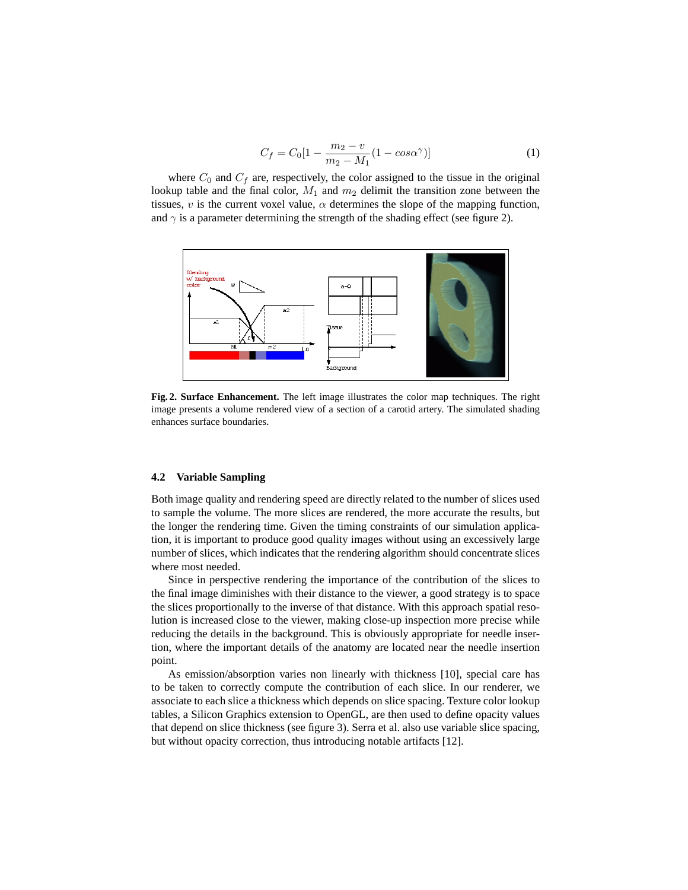$$
C_f = C_0 \left[ 1 - \frac{m_2 - v}{m_2 - M_1} (1 - \cos \alpha^{\gamma}) \right]
$$
 (1)

where  $C_0$  and  $C_f$  are, respectively, the color assigned to the tissue in the original lookup table and the final color,  $M_1$  and  $m_2$  delimit the transition zone between the tissues, v is the current voxel value,  $\alpha$  determines the slope of the mapping function, and  $\gamma$  is a parameter determining the strength of the shading effect (see figure 2).



**Fig. 2. Surface Enhancement.** The left image illustrates the color map techniques. The right image presents a volume rendered view of a section of a carotid artery. The simulated shading enhances surface boundaries.

#### **4.2 Variable Sampling**

Both image quality and rendering speed are directly related to the number of slices used to sample the volume. The more slices are rendered, the more accurate the results, but the longer the rendering time. Given the timing constraints of our simulation application, it is important to produce good quality images without using an excessively large number of slices, which indicates that the rendering algorithm should concentrate slices where most needed.

Since in perspective rendering the importance of the contribution of the slices to the final image diminishes with their distance to the viewer, a good strategy is to space the slices proportionally to the inverse of that distance. With this approach spatial resolution is increased close to the viewer, making close-up inspection more precise while reducing the details in the background. This is obviously appropriate for needle insertion, where the important details of the anatomy are located near the needle insertion point.

As emission/absorption varies non linearly with thickness [10], special care has to be taken to correctly compute the contribution of each slice. In our renderer, we associate to each slice a thickness which depends on slice spacing. Texture color lookup tables, a Silicon Graphics extension to OpenGL, are then used to define opacity values that depend on slice thickness (see figure 3). Serra et al. also use variable slice spacing, but without opacity correction, thus introducing notable artifacts [12].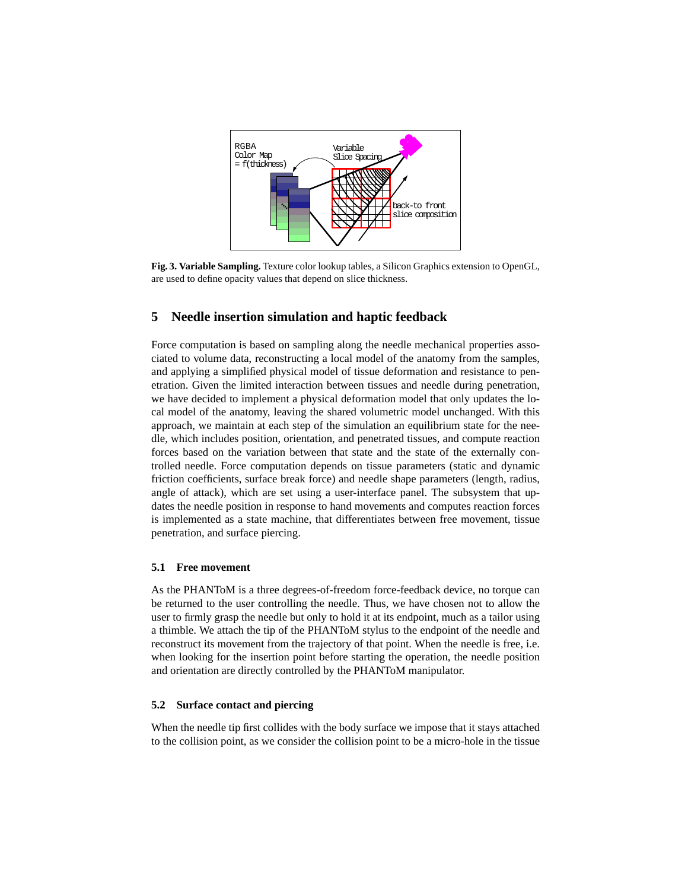

**Fig. 3. Variable Sampling.** Texture color lookup tables, a Silicon Graphics extension to OpenGL, are used to define opacity values that depend on slice thickness.

# **5 Needle insertion simulation and haptic feedback**

Force computation is based on sampling along the needle mechanical properties associated to volume data, reconstructing a local model of the anatomy from the samples, and applying a simplified physical model of tissue deformation and resistance to penetration. Given the limited interaction between tissues and needle during penetration, we have decided to implement a physical deformation model that only updates the local model of the anatomy, leaving the shared volumetric model unchanged. With this approach, we maintain at each step of the simulation an equilibrium state for the needle, which includes position, orientation, and penetrated tissues, and compute reaction forces based on the variation between that state and the state of the externally controlled needle. Force computation depends on tissue parameters (static and dynamic friction coefficients, surface break force) and needle shape parameters (length, radius, angle of attack), which are set using a user-interface panel. The subsystem that updates the needle position in response to hand movements and computes reaction forces is implemented as a state machine, that differentiates between free movement, tissue penetration, and surface piercing.

#### **5.1 Free movement**

As the PHANToM is a three degrees-of-freedom force-feedback device, no torque can be returned to the user controlling the needle. Thus, we have chosen not to allow the user to firmly grasp the needle but only to hold it at its endpoint, much as a tailor using a thimble. We attach the tip of the PHANToM stylus to the endpoint of the needle and reconstruct its movement from the trajectory of that point. When the needle is free, i.e. when looking for the insertion point before starting the operation, the needle position and orientation are directly controlled by the PHANToM manipulator.

#### **5.2 Surface contact and piercing**

When the needle tip first collides with the body surface we impose that it stays attached to the collision point, as we consider the collision point to be a micro-hole in the tissue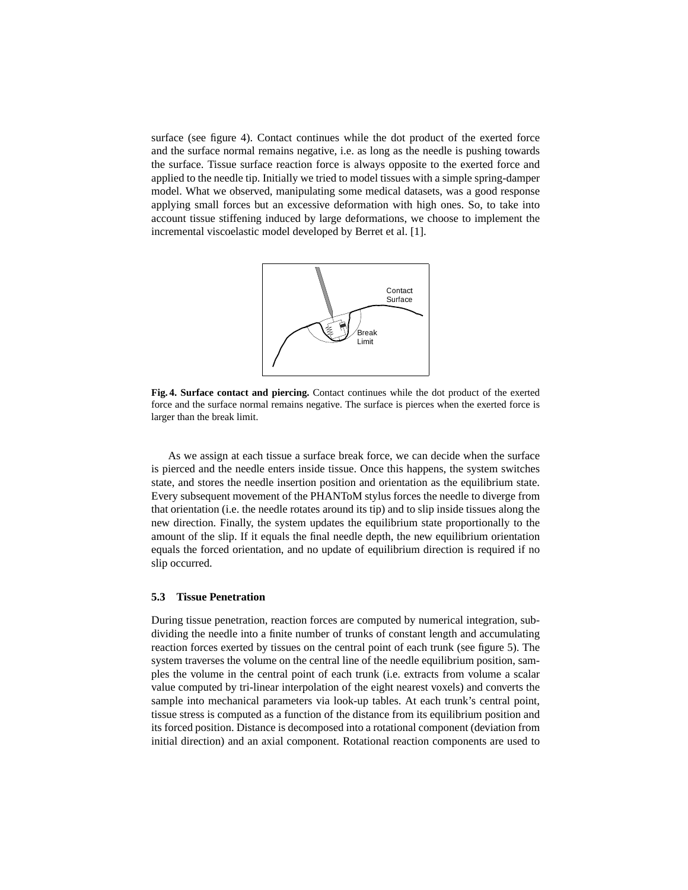surface (see figure 4). Contact continues while the dot product of the exerted force and the surface normal remains negative, i.e. as long as the needle is pushing towards the surface. Tissue surface reaction force is always opposite to the exerted force and applied to the needle tip. Initially we tried to model tissues with a simple spring-damper model. What we observed, manipulating some medical datasets, was a good response applying small forces but an excessive deformation with high ones. So, to take into account tissue stiffening induced by large deformations, we choose to implement the incremental viscoelastic model developed by Berret et al. [1].



**Fig. 4. Surface contact and piercing.** Contact continues while the dot product of the exerted force and the surface normal remains negative. The surface is pierces when the exerted force is larger than the break limit.

As we assign at each tissue a surface break force, we can decide when the surface is pierced and the needle enters inside tissue. Once this happens, the system switches state, and stores the needle insertion position and orientation as the equilibrium state. Every subsequent movement of the PHANToM stylus forces the needle to diverge from that orientation (i.e. the needle rotates around its tip) and to slip inside tissues along the new direction. Finally, the system updates the equilibrium state proportionally to the amount of the slip. If it equals the final needle depth, the new equilibrium orientation equals the forced orientation, and no update of equilibrium direction is required if no slip occurred.

#### **5.3 Tissue Penetration**

During tissue penetration, reaction forces are computed by numerical integration, subdividing the needle into a finite number of trunks of constant length and accumulating reaction forces exerted by tissues on the central point of each trunk (see figure 5). The system traverses the volume on the central line of the needle equilibrium position, samples the volume in the central point of each trunk (i.e. extracts from volume a scalar value computed by tri-linear interpolation of the eight nearest voxels) and converts the sample into mechanical parameters via look-up tables. At each trunk's central point, tissue stress is computed as a function of the distance from its equilibrium position and its forced position. Distance is decomposed into a rotational component (deviation from initial direction) and an axial component. Rotational reaction components are used to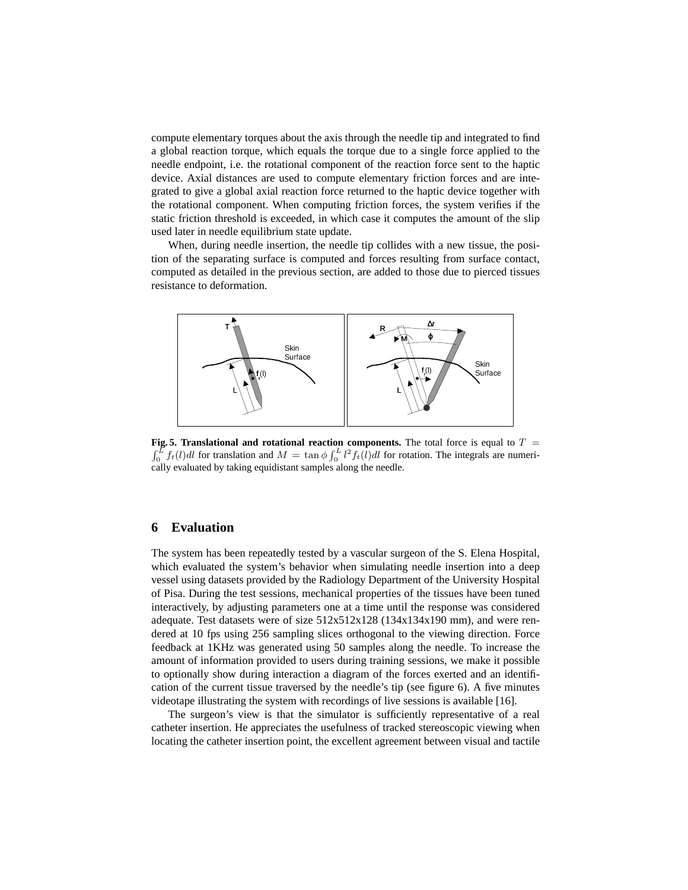compute elementary torques about the axis through the needle tip and integrated to find a global reaction torque, which equals the torque due to a single force applied to the needle endpoint, i.e. the rotational component of the reaction force sent to the haptic device. Axial distances are used to compute elementary friction forces and are integrated to give a global axial reaction force returned to the haptic device together with the rotational component. When computing friction forces, the system verifies if the static friction threshold is exceeded, in which case it computes the amount of the slip used later in needle equilibrium state update.

When, during needle insertion, the needle tip collides with a new tissue, the position of the separating surface is computed and forces resulting from surface contact, computed as detailed in the previous section, are added to those due to pierced tissues resistance to deformation.



**Fig. 5. Translational and rotational reaction components.** The total force is equal to  $T =$  $\int_0^L f_t(l)dl$  for translation and  $M = \tan \phi \int_0^L l^2 f_t(l)dl$  for rotation. The integrals are numerically evaluated by taking equidistant samples along the needle.

# **6 Evaluation**

The system has been repeatedly tested by a vascular surgeon of the S. Elena Hospital, which evaluated the system's behavior when simulating needle insertion into a deep vessel using datasets provided by the Radiology Department of the University Hospital of Pisa. During the test sessions, mechanical properties of the tissues have been tuned interactively, by adjusting parameters one at a time until the response was considered adequate. Test datasets were of size 512x512x128 (134x134x190 mm), and were rendered at 10 fps using 256 sampling slices orthogonal to the viewing direction. Force feedback at 1KHz was generated using 50 samples along the needle. To increase the amount of information provided to users during training sessions, we make it possible to optionally show during interaction a diagram of the forces exerted and an identification of the current tissue traversed by the needle's tip (see figure 6). A five minutes videotape illustrating the system with recordings of live sessions is available [16].

The surgeon's view is that the simulator is sufficiently representative of a real catheter insertion. He appreciates the usefulness of tracked stereoscopic viewing when locating the catheter insertion point, the excellent agreement between visual and tactile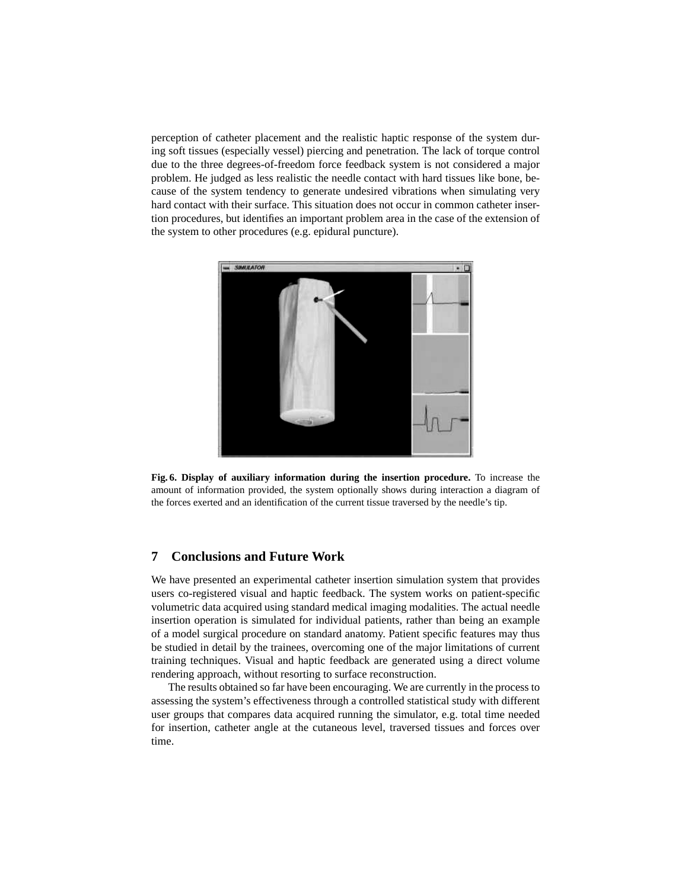perception of catheter placement and the realistic haptic response of the system during soft tissues (especially vessel) piercing and penetration. The lack of torque control due to the three degrees-of-freedom force feedback system is not considered a major problem. He judged as less realistic the needle contact with hard tissues like bone, because of the system tendency to generate undesired vibrations when simulating very hard contact with their surface. This situation does not occur in common catheter insertion procedures, but identifies an important problem area in the case of the extension of the system to other procedures (e.g. epidural puncture).



**Fig. 6. Display of auxiliary information during the insertion procedure.** To increase the amount of information provided, the system optionally shows during interaction a diagram of the forces exerted and an identification of the current tissue traversed by the needle's tip.

# **7 Conclusions and Future Work**

We have presented an experimental catheter insertion simulation system that provides users co-registered visual and haptic feedback. The system works on patient-specific volumetric data acquired using standard medical imaging modalities. The actual needle insertion operation is simulated for individual patients, rather than being an example of a model surgical procedure on standard anatomy. Patient specific features may thus be studied in detail by the trainees, overcoming one of the major limitations of current training techniques. Visual and haptic feedback are generated using a direct volume rendering approach, without resorting to surface reconstruction.

The results obtained so far have been encouraging. We are currently in the process to assessing the system's effectiveness through a controlled statistical study with different user groups that compares data acquired running the simulator, e.g. total time needed for insertion, catheter angle at the cutaneous level, traversed tissues and forces over time.